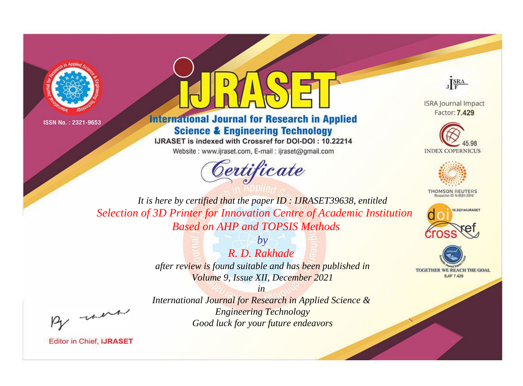



**International Journal for Research in Applied Science & Engineering Technology** 

IJRASET is indexed with Crossref for DOI-DOI: 10.22214

Website: www.ijraset.com, E-mail: ijraset@gmail.com



JERA

**ISRA Journal Impact** Factor: 7.429





**THOMSON REUTERS** 



TOGETHER WE REACH THE GOAL **SJIF 7.429** 

It is here by certified that the paper ID: IJRASET39638, entitled Selection of 3D Printer for Innovation Centre of Academic Institution **Based on AHP and TOPSIS Methods** 

> $b\nu$  $R$  D  $Rakhade$ after review is found suitable and has been published in Volume 9, Issue XII, December 2021

were

International Journal for Research in Applied Science & **Engineering Technology** Good luck for your future endeavors

 $in$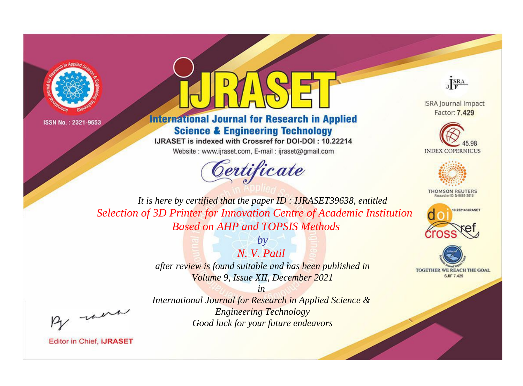



**International Journal for Research in Applied Science & Engineering Technology** 

IJRASET is indexed with Crossref for DOI-DOI: 10.22214

Website: www.ijraset.com, E-mail: ijraset@gmail.com



JERA

**ISRA Journal Impact** Factor: 7.429





**THOMSON REUTERS** 



TOGETHER WE REACH THE GOAL **SJIF 7.429** 

It is here by certified that the paper ID: IJRASET39638, entitled Selection of 3D Printer for Innovation Centre of Academic Institution **Based on AHP and TOPSIS Methods** 

> $N$  V Patil after review is found suitable and has been published in Volume 9, Issue XII, December 2021

> > $in$

 $b\nu$ 

were

International Journal for Research in Applied Science & **Engineering Technology** Good luck for your future endeavors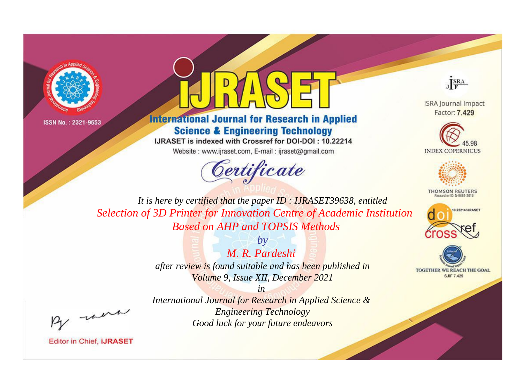



**International Journal for Research in Applied Science & Engineering Technology** 

IJRASET is indexed with Crossref for DOI-DOI: 10.22214

Website: www.ijraset.com, E-mail: ijraset@gmail.com



JERA

**ISRA Journal Impact** Factor: 7.429





**THOMSON REUTERS** 



TOGETHER WE REACH THE GOAL **SJIF 7.429** 

It is here by certified that the paper ID: IJRASET39638, entitled Selection of 3D Printer for Innovation Centre of Academic Institution **Based on AHP and TOPSIS Methods** 

> $by$ M. R. Pardeshi after review is found suitable and has been published in Volume 9, Issue XII, December 2021

were

International Journal for Research in Applied Science & **Engineering Technology** Good luck for your future endeavors

 $in$